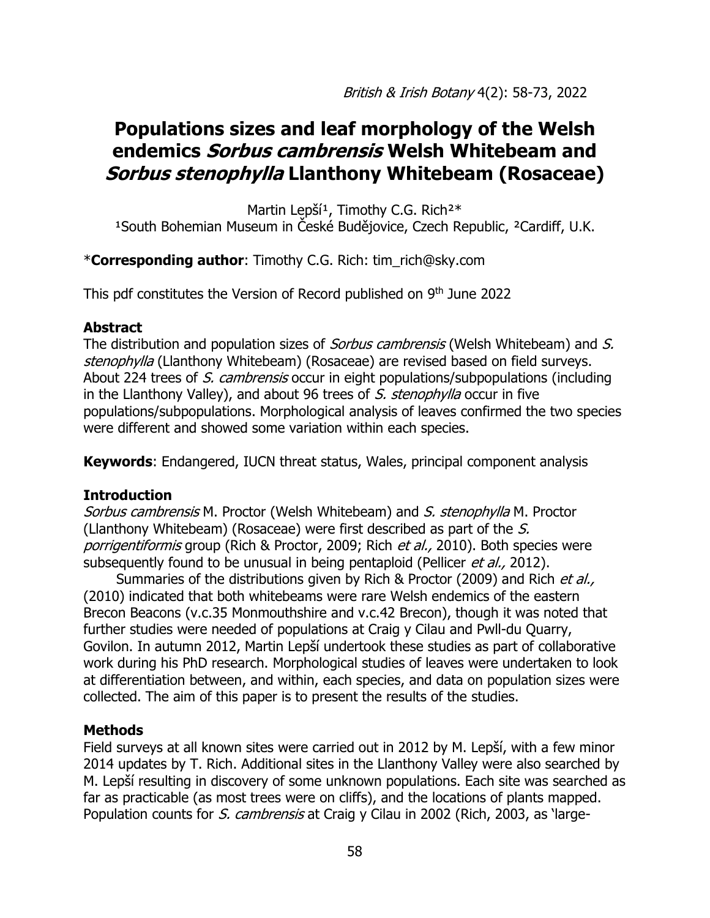# **Populations sizes and leaf morphology of the Welsh endemics Sorbus cambrensis Welsh Whitebeam and Sorbus stenophylla Llanthony Whitebeam (Rosaceae)**

Martin Lepší<sup>1</sup>, Timothy C.G. Rich<sup>2\*</sup> <sup>1</sup>South Bohemian Museum in České Budějovice, Czech Republic, <sup>2</sup>Cardiff, U.K.

\***Corresponding author**: Timothy C.G. Rich: [tim\\_rich@sky.com](mailto:tim_rich@sky.com)

This pdf constitutes the Version of Record published on 9<sup>th</sup> June 2022

## **Abstract**

The distribution and population sizes of *Sorbus cambrensis* (Welsh Whitebeam) and S. stenophylla (Llanthony Whitebeam) (Rosaceae) are revised based on field surveys. About 224 trees of S. cambrensis occur in eight populations/subpopulations (including in the Llanthony Valley), and about 96 trees of S. stenophylla occur in five populations/subpopulations. Morphological analysis of leaves confirmed the two species were different and showed some variation within each species.

**Keywords**: Endangered, IUCN threat status, Wales, principal component analysis

# **Introduction**

Sorbus cambrensis M. Proctor (Welsh Whitebeam) and S. stenophylla M. Proctor (Llanthony Whitebeam) (Rosaceae) were first described as part of the S. porrigentiformis group (Rich & Proctor, 2009; Rich et al., 2010). Both species were subsequently found to be unusual in being pentaploid (Pellicer et al., 2012).

Summaries of the distributions given by Rich & Proctor (2009) and Rich et al., (2010) indicated that both whitebeams were rare Welsh endemics of the eastern Brecon Beacons (v.c.35 Monmouthshire and v.c.42 Brecon), though it was noted that further studies were needed of populations at Craig y Cilau and Pwll-du Quarry, Govilon. In autumn 2012, Martin Lepší undertook these studies as part of collaborative work during his PhD research. Morphological studies of leaves were undertaken to look at differentiation between, and within, each species, and data on population sizes were collected. The aim of this paper is to present the results of the studies.

# **Methods**

Field surveys at all known sites were carried out in 2012 by M. Lepší, with a few minor 2014 updates by T. Rich. Additional sites in the Llanthony Valley were also searched by M. Lepší resulting in discovery of some unknown populations. Each site was searched as far as practicable (as most trees were on cliffs), and the locations of plants mapped. Population counts for S. cambrensis at Craig y Cilau in 2002 (Rich, 2003, as 'large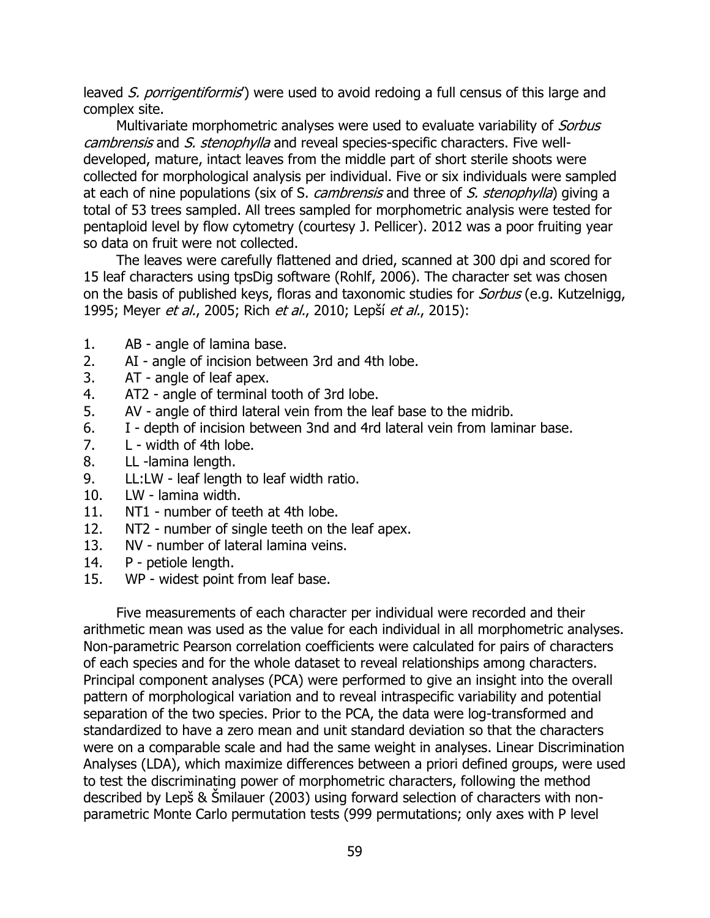leaved S. porrigentiformis') were used to avoid redoing a full census of this large and complex site.

Multivariate morphometric analyses were used to evaluate variability of Sorbus cambrensis and S. stenophylla and reveal species-specific characters. Five welldeveloped, mature, intact leaves from the middle part of short sterile shoots were collected for morphological analysis per individual. Five or six individuals were sampled at each of nine populations (six of S. *cambrensis* and three of S. stenophylla) giving a total of 53 trees sampled. All trees sampled for morphometric analysis were tested for pentaploid level by flow cytometry (courtesy J. Pellicer). 2012 was a poor fruiting year so data on fruit were not collected.

The leaves were carefully flattened and dried, scanned at 300 dpi and scored for 15 leaf characters using tpsDig software (Rohlf, 2006). The character set was chosen on the basis of published keys, floras and taxonomic studies for *Sorbus* (e.g. Kutzelnigg, 1995; Meyer et al., 2005; Rich et al., 2010; Lepší et al., 2015):

- 1. AB angle of lamina base.
- 2. AI angle of incision between 3rd and 4th lobe.
- 3. AT angle of leaf apex.
- 4. AT2 angle of terminal tooth of 3rd lobe.
- 5. AV angle of third lateral vein from the leaf base to the midrib.
- 6. I depth of incision between 3nd and 4rd lateral vein from laminar base.
- 7. L width of 4th lobe.
- 8. LL -lamina length.
- 9. LL:LW leaf length to leaf width ratio.
- 10. LW lamina width.
- 11. NT1 number of teeth at 4th lobe.
- 12. NT2 number of single teeth on the leaf apex.
- 13. NV number of lateral lamina veins.
- 14. P petiole length.
- 15. WP widest point from leaf base.

Five measurements of each character per individual were recorded and their arithmetic mean was used as the value for each individual in all morphometric analyses. Non-parametric Pearson correlation coefficients were calculated for pairs of characters of each species and for the whole dataset to reveal relationships among characters. Principal component analyses (PCA) were performed to give an insight into the overall pattern of morphological variation and to reveal intraspecific variability and potential separation of the two species. Prior to the PCA, the data were log-transformed and standardized to have a zero mean and unit standard deviation so that the characters were on a comparable scale and had the same weight in analyses. Linear Discrimination Analyses (LDA), which maximize differences between a priori defined groups, were used to test the discriminating power of morphometric characters, following the method described by Lepš & Šmilauer (2003) using forward selection of characters with nonparametric Monte Carlo permutation tests (999 permutations; only axes with P level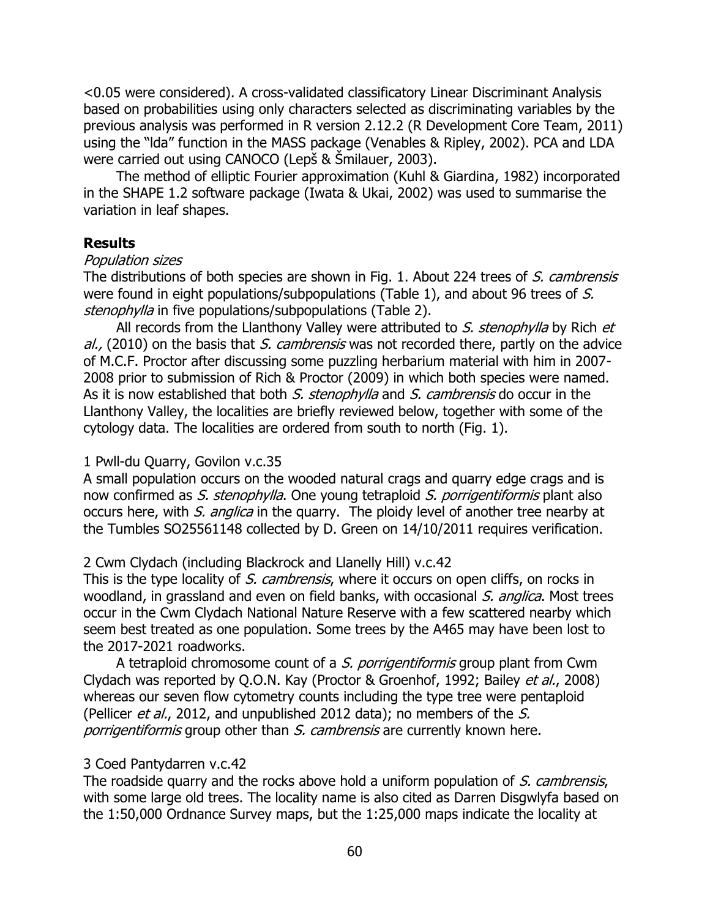<0.05 were considered). A cross-validated classificatory Linear Discriminant Analysis based on probabilities using only characters selected as discriminating variables by the previous analysis was performed in R version 2.12.2 (R Development Core Team, 2011) using the "lda" function in the MASS package (Venables & Ripley, 2002). PCA and LDA were carried out using CANOCO (Lepš & Šmilauer, 2003).

The method of elliptic Fourier approximation (Kuhl & Giardina, 1982) incorporated in the SHAPE 1.2 software package (Iwata & Ukai, 2002) was used to summarise the variation in leaf shapes.

## **Results**

#### Population sizes

The distributions of both species are shown in Fig. 1. About 224 trees of S. cambrensis were found in eight populations/subpopulations (Table 1), and about 96 trees of S. stenophylla in five populations/subpopulations (Table 2).

All records from the Llanthony Valley were attributed to S. stenophylla by Rich et  $al.$ , (2010) on the basis that S. cambrensis was not recorded there, partly on the advice of M.C.F. Proctor after discussing some puzzling herbarium material with him in 2007- 2008 prior to submission of Rich & Proctor (2009) in which both species were named. As it is now established that both S. stenophylla and S. cambrensis do occur in the Llanthony Valley, the localities are briefly reviewed below, together with some of the cytology data. The localities are ordered from south to north (Fig. 1).

#### 1 Pwll-du Quarry, Govilon v.c.35

A small population occurs on the wooded natural crags and quarry edge crags and is now confirmed as S. stenophylla. One young tetraploid S. porrigentiformis plant also occurs here, with *S. anglica* in the quarry. The ploidy level of another tree nearby at the Tumbles SO25561148 collected by D. Green on 14/10/2011 requires verification.

#### 2 Cwm Clydach (including Blackrock and Llanelly Hill) v.c.42

This is the type locality of S. cambrensis, where it occurs on open cliffs, on rocks in woodland, in grassland and even on field banks, with occasional S. anglica. Most trees occur in the Cwm Clydach National Nature Reserve with a few scattered nearby which seem best treated as one population. Some trees by the A465 may have been lost to the 2017-2021 roadworks.

A tetraploid chromosome count of a S. porrigentiformis group plant from Cwm Clydach was reported by Q.O.N. Kay (Proctor & Groenhof, 1992; Bailey et al., 2008) whereas our seven flow cytometry counts including the type tree were pentaploid (Pellicer *et al.*, 2012, and unpublished 2012 data); no members of the S. porrigentiformis group other than S. cambrensis are currently known here.

#### 3 Coed Pantydarren v.c.42

The roadside quarry and the rocks above hold a uniform population of S. cambrensis, with some large old trees. The locality name is also cited as Darren Disgwlyfa based on the 1:50,000 Ordnance Survey maps, but the 1:25,000 maps indicate the locality at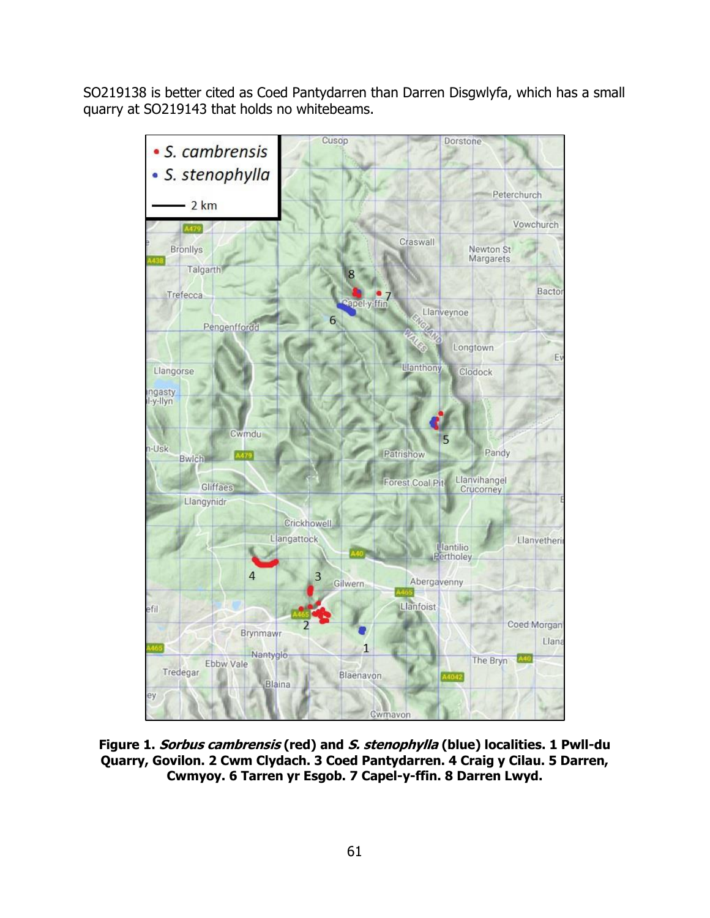SO219138 is better cited as Coed Pantydarren than Darren Disgwlyfa, which has a small quarry at SO219143 that holds no whitebeams.



**Figure 1. Sorbus cambrensis (red) and S. stenophylla (blue) localities. 1 Pwll-du Quarry, Govilon. 2 Cwm Clydach. 3 Coed Pantydarren. 4 Craig y Cilau. 5 Darren, Cwmyoy. 6 Tarren yr Esgob. 7 Capel-y-ffin. 8 Darren Lwyd.**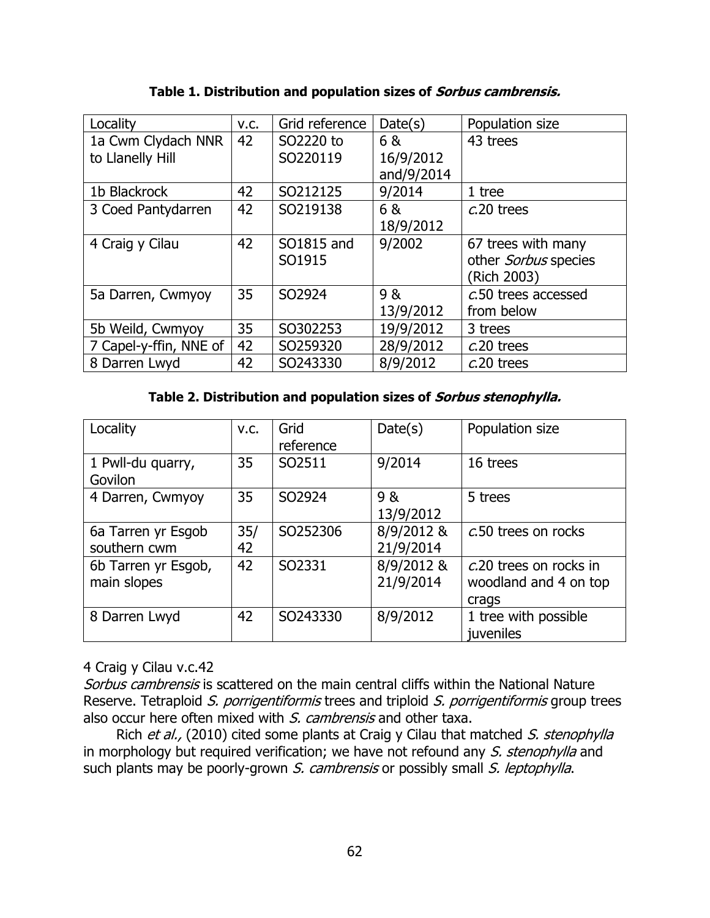| Locality               | V.C. | Grid reference | Date(s)    | Population size      |
|------------------------|------|----------------|------------|----------------------|
| 1a Cwm Clydach NNR     | 42   | SO2220 to      | 6 &        | 43 trees             |
| to Llanelly Hill       |      | SO220119       | 16/9/2012  |                      |
|                        |      |                | and/9/2014 |                      |
| 1b Blackrock           | 42   | SO212125       | 9/2014     | 1 tree               |
| 3 Coed Pantydarren     | 42   | SO219138       | 6 &        | $c.20$ trees         |
|                        |      |                | 18/9/2012  |                      |
| 4 Craig y Cilau        | 42   | SO1815 and     | 9/2002     | 67 trees with many   |
|                        |      | SO1915         |            | other Sorbus species |
|                        |      |                |            | (Rich 2003)          |
| 5a Darren, Cwmyoy      | 35   | SO2924         | 9 &        | c.50 trees accessed  |
|                        |      |                | 13/9/2012  | from below           |
| 5b Weild, Cwmyoy       | 35   | SO302253       | 19/9/2012  | 3 trees              |
| 7 Capel-y-ffin, NNE of | 42   | SO259320       | 28/9/2012  | $c.20$ trees         |
| 8 Darren Lwyd          | 42   | SO243330       | 8/9/2012   | $c.20$ trees         |

**Table 1. Distribution and population sizes of Sorbus cambrensis.**

## **Table 2. Distribution and population sizes of Sorbus stenophylla.**

| Locality                           | V.C.      | Grid<br>reference | Date(s)                 | Population size                                          |
|------------------------------------|-----------|-------------------|-------------------------|----------------------------------------------------------|
| 1 Pwll-du quarry,<br>Govilon       | 35        | SO2511            | 9/2014                  | 16 trees                                                 |
| 4 Darren, Cwmyoy                   | 35        | SO2924            | 9 &<br>13/9/2012        | 5 trees                                                  |
| 6a Tarren yr Esgob<br>southern cwm | 35/<br>42 | SO252306          | 8/9/2012 &<br>21/9/2014 | c.50 trees on rocks                                      |
| 6b Tarren yr Esgob,<br>main slopes | 42        | SO2331            | 8/9/2012 &<br>21/9/2014 | c.20 trees on rocks in<br>woodland and 4 on top<br>crags |
| 8 Darren Lwyd                      | 42        | SO243330          | 8/9/2012                | 1 tree with possible<br>juveniles                        |

## 4 Craig y Cilau v.c.42

Sorbus cambrensis is scattered on the main central cliffs within the National Nature Reserve. Tetraploid S. porrigentiformis trees and triploid S. porrigentiformis group trees also occur here often mixed with S. cambrensis and other taxa.

Rich et al., (2010) cited some plants at Craig y Cilau that matched S. stenophylla in morphology but required verification; we have not refound any S. stenophylla and such plants may be poorly-grown S. cambrensis or possibly small S. leptophylla.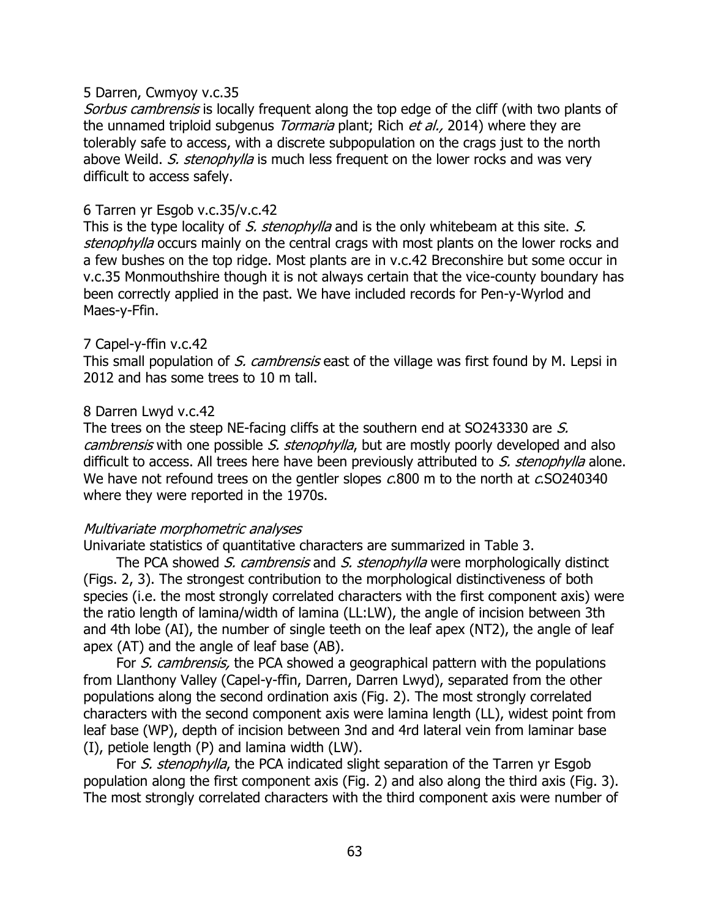## 5 Darren, Cwmyoy v.c.35

Sorbus cambrensis is locally frequent along the top edge of the cliff (with two plants of the unnamed triploid subgenus *Tormaria* plant; Rich *et al.*, 2014) where they are tolerably safe to access, with a discrete subpopulation on the crags just to the north above Weild. S. stenophylla is much less frequent on the lower rocks and was very difficult to access safely.

## 6 Tarren yr Esgob v.c.35/v.c.42

This is the type locality of S. stenophylla and is the only whitebeam at this site. S. stenophylla occurs mainly on the central crags with most plants on the lower rocks and a few bushes on the top ridge. Most plants are in v.c.42 Breconshire but some occur in v.c.35 Monmouthshire though it is not always certain that the vice-county boundary has been correctly applied in the past. We have included records for Pen-y-Wyrlod and Maes-y-Ffin.

## 7 Capel-y-ffin v.c.42

This small population of S. cambrensis east of the village was first found by M. Lepsi in 2012 and has some trees to 10 m tall.

## 8 Darren Lwyd v.c.42

The trees on the steep NE-facing cliffs at the southern end at SO243330 are S. cambrensis with one possible S. stenophylla, but are mostly poorly developed and also difficult to access. All trees here have been previously attributed to S. stenophylla alone. We have not refound trees on the gentler slopes c.800 m to the north at c.SO240340 where they were reported in the 1970s.

## Multivariate morphometric analyses

Univariate statistics of quantitative characters are summarized in Table 3.

The PCA showed S. cambrensis and S. stenophylla were morphologically distinct (Figs. 2, 3). The strongest contribution to the morphological distinctiveness of both species (i.e. the most strongly correlated characters with the first component axis) were the ratio length of lamina/width of lamina (LL:LW), the angle of incision between 3th and 4th lobe (AI), the number of single teeth on the leaf apex (NT2), the angle of leaf apex (AT) and the angle of leaf base (AB).

For S. cambrensis, the PCA showed a geographical pattern with the populations from Llanthony Valley (Capel-y-ffin, Darren, Darren Lwyd), separated from the other populations along the second ordination axis (Fig. 2). The most strongly correlated characters with the second component axis were lamina length (LL), widest point from leaf base (WP), depth of incision between 3nd and 4rd lateral vein from laminar base (I), petiole length (P) and lamina width (LW).

For S. stenophylla, the PCA indicated slight separation of the Tarren yr Esgob population along the first component axis (Fig. 2) and also along the third axis (Fig. 3). The most strongly correlated characters with the third component axis were number of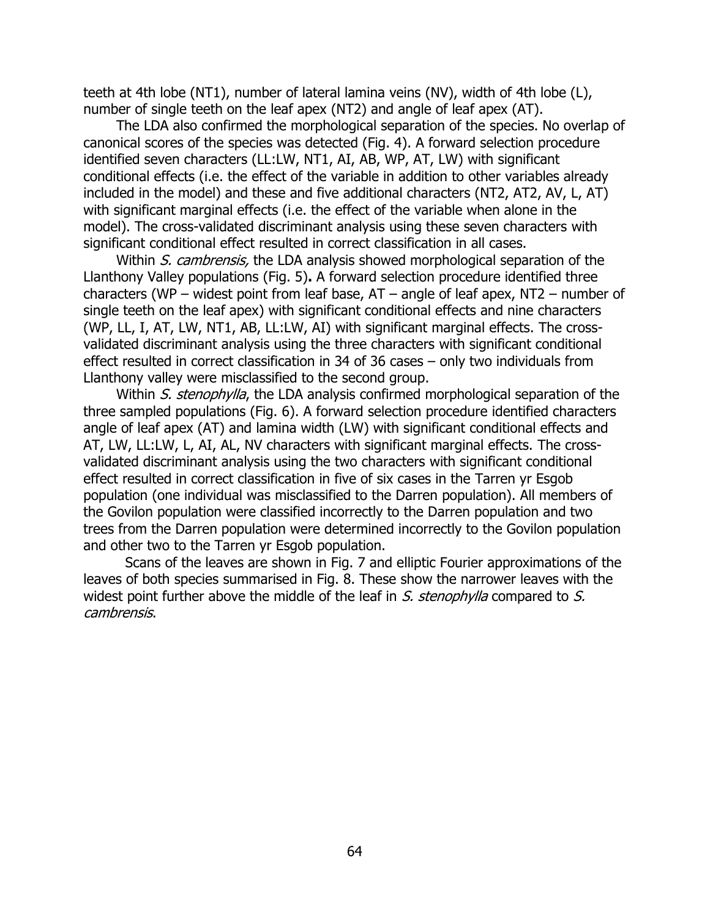teeth at 4th lobe (NT1), number of lateral lamina veins (NV), width of 4th lobe (L), number of single teeth on the leaf apex (NT2) and angle of leaf apex (AT).

The LDA also confirmed the morphological separation of the species. No overlap of canonical scores of the species was detected (Fig. 4). A forward selection procedure identified seven characters (LL:LW, NT1, AI, AB, WP, AT, LW) with significant conditional effects (i.e. the effect of the variable in addition to other variables already included in the model) and these and five additional characters (NT2, AT2, AV, L, AT) with significant marginal effects (i.e. the effect of the variable when alone in the model). The cross-validated discriminant analysis using these seven characters with significant conditional effect resulted in correct classification in all cases.

Within S. cambrensis, the LDA analysis showed morphological separation of the Llanthony Valley populations (Fig. 5)**.** A forward selection procedure identified three characters (WP – widest point from leaf base,  $AT$  – angle of leaf apex,  $NT2$  – number of single teeth on the leaf apex) with significant conditional effects and nine characters (WP, LL, I, AT, LW, NT1, AB, LL:LW, AI) with significant marginal effects. The crossvalidated discriminant analysis using the three characters with significant conditional effect resulted in correct classification in 34 of 36 cases – only two individuals from Llanthony valley were misclassified to the second group.

Within S. stenophylla, the LDA analysis confirmed morphological separation of the three sampled populations (Fig. 6). A forward selection procedure identified characters angle of leaf apex (AT) and lamina width (LW) with significant conditional effects and AT, LW, LL:LW, L, AI, AL, NV characters with significant marginal effects. The crossvalidated discriminant analysis using the two characters with significant conditional effect resulted in correct classification in five of six cases in the Tarren yr Esgob population (one individual was misclassified to the Darren population). All members of the Govilon population were classified incorrectly to the Darren population and two trees from the Darren population were determined incorrectly to the Govilon population and other two to the Tarren yr Esgob population.

Scans of the leaves are shown in Fig. 7 and elliptic Fourier approximations of the leaves of both species summarised in Fig. 8. These show the narrower leaves with the widest point further above the middle of the leaf in  $S$ . stenophylla compared to  $S$ . cambrensis.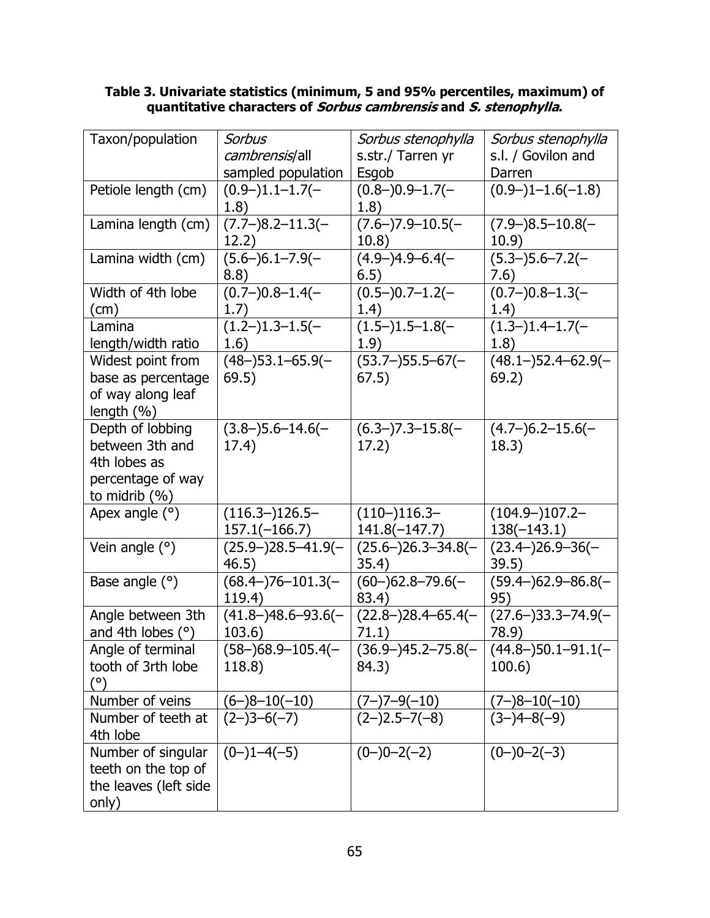#### **Table 3. Univariate statistics (minimum, 5 and 95% percentiles, maximum) of quantitative characters of Sorbus cambrensis and S. stenophylla.**

| Taxon/population      | <b>Sorbus</b>            | Sorbus stenophylla    | Sorbus stenophylla        |
|-----------------------|--------------------------|-----------------------|---------------------------|
|                       | cambrensis/all           | s.str./ Tarren yr     | s.l. / Govilon and        |
|                       | sampled population       | Esgob                 | Darren                    |
| Petiole length (cm)   | $(0.9-)1.1-1.7(-)$       | $(0.8-)0.9-1.7(-)$    | $(0.9-11.6(-1.8))$        |
|                       | 1.8)                     | 1.8)                  |                           |
| Lamina length (cm)    | $(7.7-)8.2-11.3(-$       | $(7.6-)7.9-10.5(-)$   | $(7.9 - )8.5 - 10.8(-$    |
|                       | 12.2)                    | 10.8)                 | 10.9)                     |
| Lamina width (cm)     | $(5.6-)6.1-7.9(-)$       | $(4.9-)4.9-6.4(-)$    | $(5.3-)5.6-7.2(-)$        |
|                       | 8.8)                     | 6.5)                  | 7.6)                      |
| Width of 4th lobe     | $(0.7-)0.8-1.4(-)$       | $(0.5-)0.7-1.2(-)$    | $(0.7-)0.8-1.3(-)$        |
| $\text{(cm)}$         | 1.7)                     | 1.4)                  | 1.4)                      |
| Lamina                | $(1.2-)1.3-1.5(-)$       | $(1.5-)1.5-1.8(-)$    | $(1.3-)1.4-1.7(-)$        |
| length/width ratio    | 1.6)                     | 1.9)                  | 1.8)                      |
| Widest point from     | $(48-)53.1-65.9(-)$      | $(53.7-)$ 55.5-67(-   | $(48.1 - 52.4 - 62.9(-$   |
| base as percentage    | 69.5)                    | 67.5)                 | 69.2)                     |
| of way along leaf     |                          |                       |                           |
| length (%)            |                          |                       |                           |
| Depth of lobbing      | $(3.8-)5.6-14.6(-)$      | $(6.3-)7.3-15.8(-)$   | $(4.7-)6.2-15.6(-$        |
| between 3th and       | 17.4)                    | 17.2)                 | 18.3)                     |
| 4th lobes as          |                          |                       |                           |
| percentage of way     |                          |                       |                           |
| to midrib $(\%)$      |                          |                       |                           |
| Apex angle (°)        | $(116.3-)126.5-$         | $(110-)116.3-$        | $(104.9-)107.2-$          |
|                       | $157.1(-166.7)$          | $141.8(-147.7)$       | $138(-143.1)$             |
| Vein angle $(°)$      | $(25.9-)28.5-41.9(-)$    | $(25.6-)26.3-34.8(-)$ | $(23.4-)26.9-36(-$        |
|                       | 46.5)                    | 35.4)                 | 39.5)                     |
| Base angle $(°)$      | $(68.4-)76-101.3(-$      | $(60-)62.8-79.6(-)$   | $(59.4 - )62.9 - 86.8(-$  |
|                       | 119.4)                   | 83.4)                 | 95)                       |
| Angle between 3th     | $(41.8 - )48.6 - 93.6(-$ | $(22.8-)28.4-65.4(-)$ | $(27.6 - )33.3 - 74.9(-)$ |
| and 4th lobes $(°)$   | 103.6)                   | 71.1)                 | 78.9)                     |
| Angle of terminal     | $(58-)68.9-105.4(-$      | $(36.9-)45.2-75.8(-)$ | $(44.8 - )50.1 - 91.1(-$  |
| tooth of 3rth lobe    | 118.8)                   | 84.3)                 | 100.6)                    |
| $(^\circ)$            |                          |                       |                           |
| Number of veins       | $(6-)8-10(-10)$          | $(7-)7-9(-10)$        | $(7-)8-10(-10)$           |
| Number of teeth at    | $(2-)3-6(-7)$            | $(2-)2.5-7(-8)$       | $(3-)4-8(-9)$             |
| 4th lobe              |                          |                       |                           |
| Number of singular    | $(0-)1-4(-5)$            | $(0-)0-2(-2)$         | $(0-)0-2(-3)$             |
| teeth on the top of   |                          |                       |                           |
| the leaves (left side |                          |                       |                           |
| only)                 |                          |                       |                           |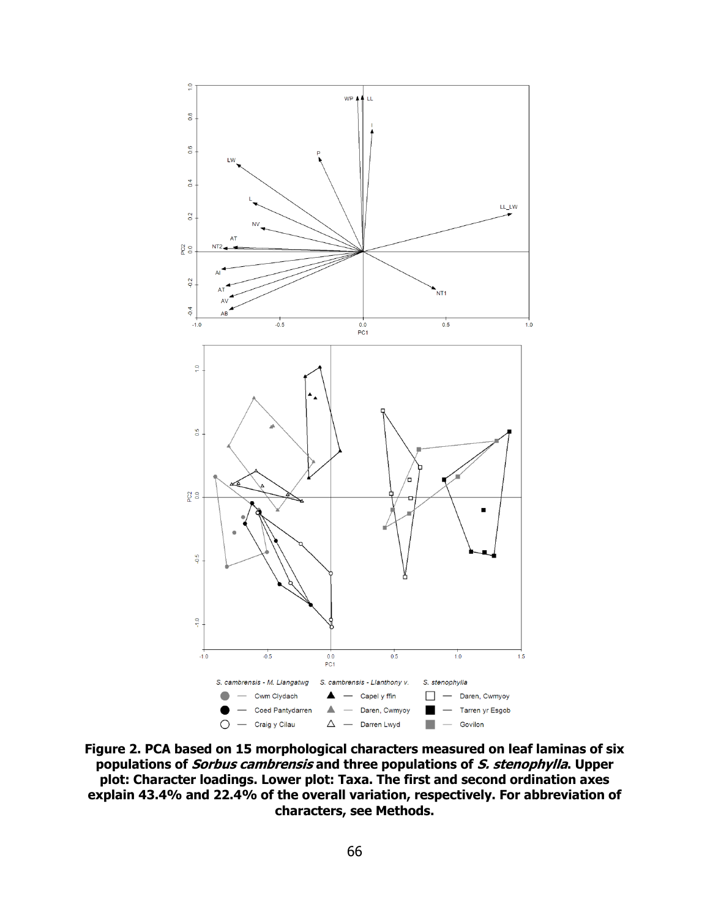

**Figure 2. PCA based on 15 morphological characters measured on leaf laminas of six populations of Sorbus cambrensis and three populations of S. stenophylla. Upper plot: Character loadings. Lower plot: Taxa. The first and second ordination axes explain 43.4% and 22.4% of the overall variation, respectively. For abbreviation of characters, see Methods.**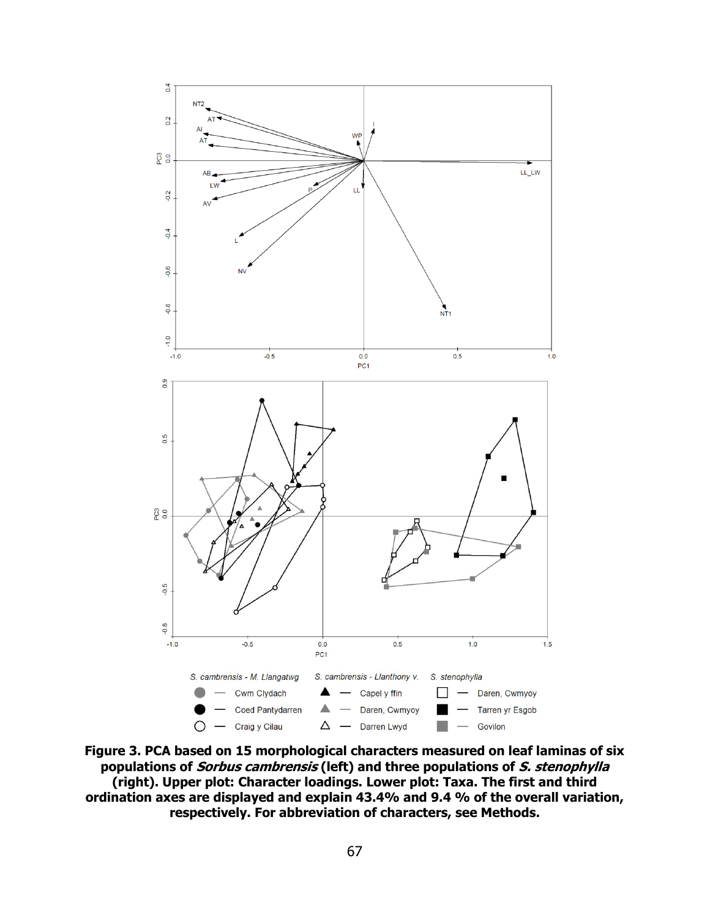

**Figure 3. PCA based on 15 morphological characters measured on leaf laminas of six populations of Sorbus cambrensis (left) and three populations of S. stenophylla (right). Upper plot: Character loadings. Lower plot: Taxa. The first and third ordination axes are displayed and explain 43.4% and 9.4 % of the overall variation, respectively. For abbreviation of characters, see Methods.**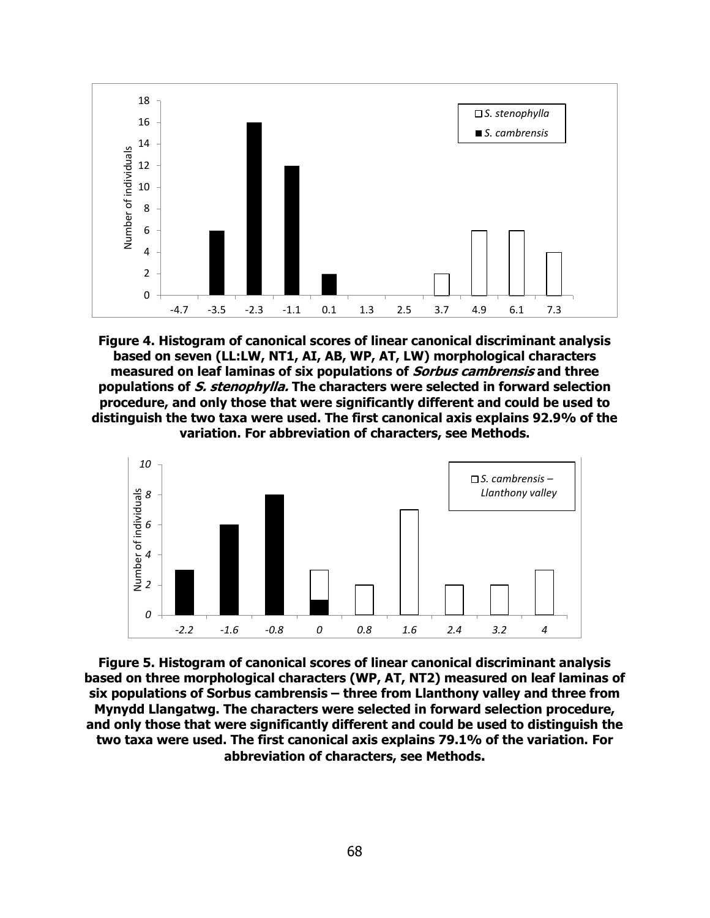

**Figure 4. Histogram of canonical scores of linear canonical discriminant analysis based on seven (LL:LW, NT1, AI, AB, WP, AT, LW) morphological characters measured on leaf laminas of six populations of Sorbus cambrensis and three populations of S. stenophylla. The characters were selected in forward selection procedure, and only those that were significantly different and could be used to distinguish the two taxa were used. The first canonical axis explains 92.9% of the variation. For abbreviation of characters, see Methods.**



**Figure 5. Histogram of canonical scores of linear canonical discriminant analysis based on three morphological characters (WP, AT, NT2) measured on leaf laminas of six populations of Sorbus cambrensis – three from Llanthony valley and three from Mynydd Llangatwg. The characters were selected in forward selection procedure, and only those that were significantly different and could be used to distinguish the two taxa were used. The first canonical axis explains 79.1% of the variation. For abbreviation of characters, see Methods.**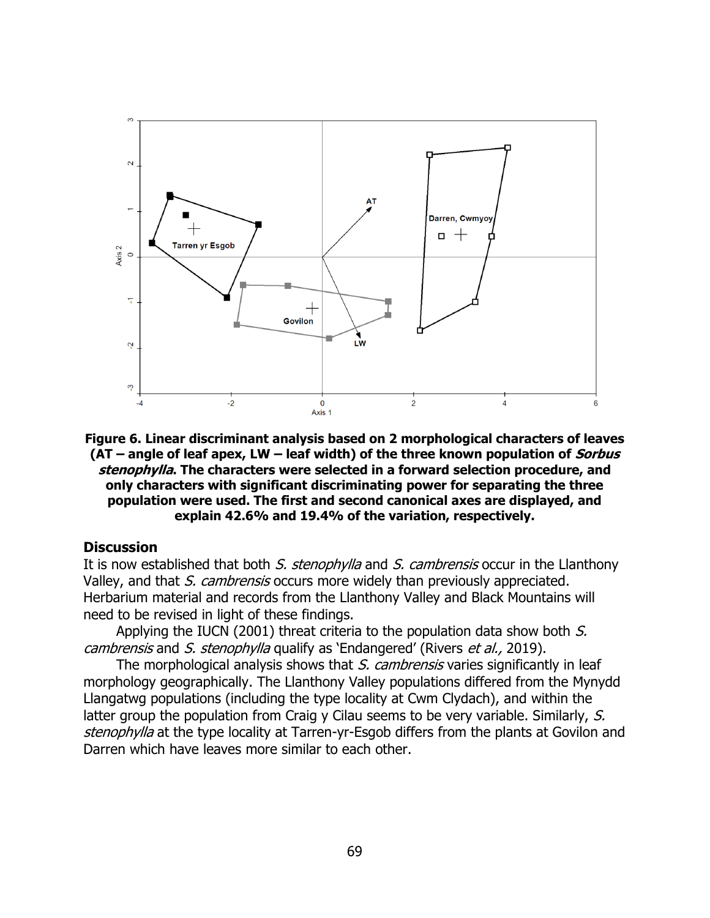

**Figure 6. Linear discriminant analysis based on 2 morphological characters of leaves (AT – angle of leaf apex, LW – leaf width) of the three known population of Sorbus stenophylla. The characters were selected in a forward selection procedure, and only characters with significant discriminating power for separating the three population were used. The first and second canonical axes are displayed, and explain 42.6% and 19.4% of the variation, respectively.**

#### **Discussion**

It is now established that both S. stenophylla and S. cambrensis occur in the Llanthony Valley, and that S. cambrensis occurs more widely than previously appreciated. Herbarium material and records from the Llanthony Valley and Black Mountains will need to be revised in light of these findings.

Applying the IUCN (2001) threat criteria to the population data show both  $S$ . cambrensis and S. stenophylla qualify as 'Endangered' (Rivers et al., 2019).

The morphological analysis shows that S. cambrensis varies significantly in leaf morphology geographically. The Llanthony Valley populations differed from the Mynydd Llangatwg populations (including the type locality at Cwm Clydach), and within the latter group the population from Craig y Cilau seems to be very variable. Similarly, S. stenophylla at the type locality at Tarren-yr-Esgob differs from the plants at Govilon and Darren which have leaves more similar to each other.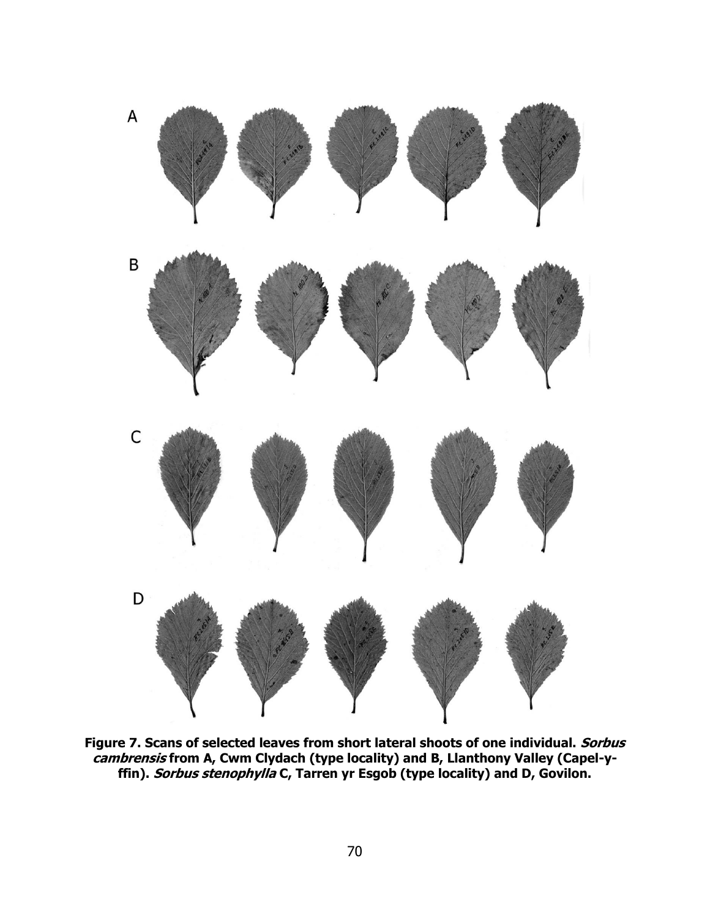

**Figure 7. Scans of selected leaves from short lateral shoots of one individual. Sorbus cambrensis from A, Cwm Clydach (type locality) and B, Llanthony Valley (Capel-yffin). Sorbus stenophylla C, Tarren yr Esgob (type locality) and D, Govilon.**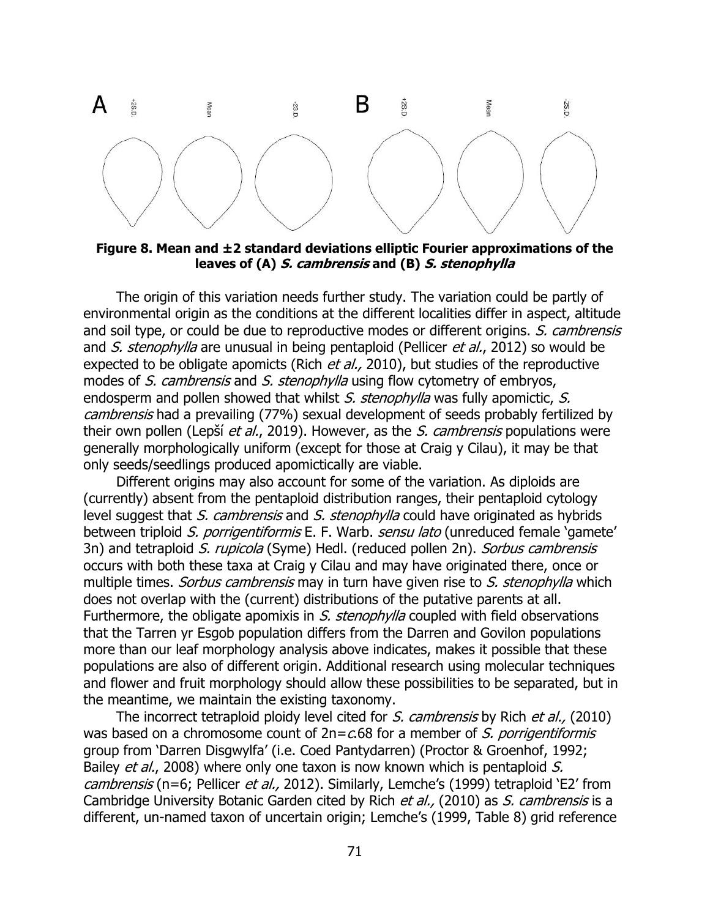

**Figure 8. Mean and ±2 standard deviations elliptic Fourier approximations of the leaves of (A) S. cambrensis and (B) S. stenophylla**

The origin of this variation needs further study. The variation could be partly of environmental origin as the conditions at the different localities differ in aspect, altitude and soil type, or could be due to reproductive modes or different origins. S. cambrensis and S. stenophylla are unusual in being pentaploid (Pellicer et al., 2012) so would be expected to be obligate apomicts (Rich et al., 2010), but studies of the reproductive modes of S. cambrensis and S. stenophylla using flow cytometry of embryos, endosperm and pollen showed that whilst S. stenophylla was fully apomictic, S. cambrensis had a prevailing (77%) sexual development of seeds probably fertilized by their own pollen (Lepší et al., 2019). However, as the S. cambrensis populations were generally morphologically uniform (except for those at Craig y Cilau), it may be that only seeds/seedlings produced apomictically are viable.

Different origins may also account for some of the variation. As diploids are (currently) absent from the pentaploid distribution ranges, their pentaploid cytology level suggest that S. cambrensis and S. stenophylla could have originated as hybrids between triploid S. porrigentiformis E. F. Warb. sensu lato (unreduced female 'gamete' 3n) and tetraploid S. rupicola (Syme) Hedl. (reduced pollen 2n). Sorbus cambrensis occurs with both these taxa at Craig y Cilau and may have originated there, once or multiple times. Sorbus cambrensis may in turn have given rise to S. stenophylla which does not overlap with the (current) distributions of the putative parents at all. Furthermore, the obligate apomixis in S. stenophylla coupled with field observations that the Tarren yr Esgob population differs from the Darren and Govilon populations more than our leaf morphology analysis above indicates, makes it possible that these populations are also of different origin. Additional research using molecular techniques and flower and fruit morphology should allow these possibilities to be separated, but in the meantime, we maintain the existing taxonomy.

The incorrect tetraploid ploidy level cited for S. cambrensis by Rich et al., (2010) was based on a chromosome count of  $2n = c.68$  for a member of S. porrigentiformis group from 'Darren Disgwylfa' (i.e. Coed Pantydarren) (Proctor & Groenhof, 1992; Bailey *et al.*, 2008) where only one taxon is now known which is pentaploid S. cambrensis (n=6; Pellicer et al., 2012). Similarly, Lemche's (1999) tetraploid 'E2' from Cambridge University Botanic Garden cited by Rich et al., (2010) as S. cambrensis is a different, un-named taxon of uncertain origin; Lemche's (1999, Table 8) grid reference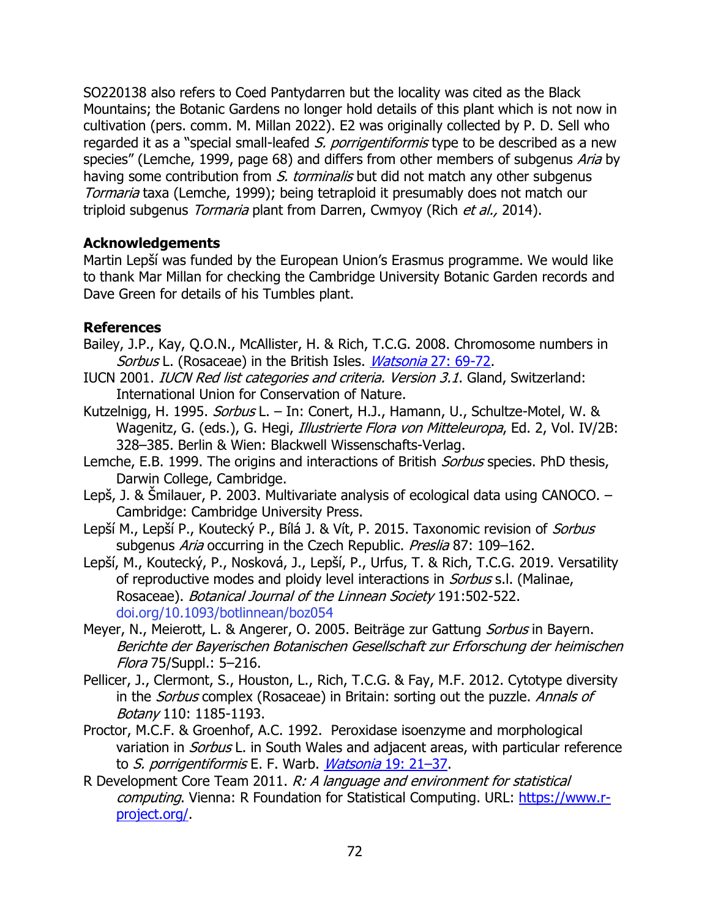SO220138 also refers to Coed Pantydarren but the locality was cited as the Black Mountains; the Botanic Gardens no longer hold details of this plant which is not now in cultivation (pers. comm. M. Millan 2022). E2 was originally collected by P. D. Sell who regarded it as a "special small-leafed S. porrigentiformis type to be described as a new species" (Lemche, 1999, page 68) and differs from other members of subgenus Aria by having some contribution from S. torminalis but did not match any other subgenus Tormaria taxa (Lemche, 1999); being tetraploid it presumably does not match our triploid subgenus Tormaria plant from Darren, Cwmyoy (Rich et al., 2014).

# **Acknowledgements**

Martin Lepší was funded by the European Union's Erasmus programme. We would like to thank Mar Millan for checking the Cambridge University Botanic Garden records and Dave Green for details of his Tumbles plant.

# **References**

- Bailey, J.P., Kay, Q.O.N., McAllister, H. & Rich, T.C.G. 2008. Chromosome numbers in Sorbus L. (Rosaceae) in the British Isles. *Watsonia* [27: 69-72.](http://archive.bsbi.org.uk/Wats27p65.pdf)
- IUCN 2001. IUCN Red list categories and criteria. Version 3.1. Gland, Switzerland: International Union for Conservation of Nature.
- Kutzelnigg, H. 1995. *Sorbus* L. In: Conert, H.J., Hamann, U., Schultze-Motel, W. & Wagenitz, G. (eds.), G. Hegi, Illustrierte Flora von Mitteleuropa, Ed. 2, Vol. IV/2B: 328–385. Berlin & Wien: Blackwell Wissenschafts-Verlag.
- Lemche, E.B. 1999. The origins and interactions of British *Sorbus* species. PhD thesis, Darwin College, Cambridge.
- Lepš, J. & Šmilauer, P. 2003. Multivariate analysis of ecological data using CANOCO. Cambridge: Cambridge University Press.
- Lepší M., Lepší P., Koutecký P., Bílá J. & Vít, P. 2015. Taxonomic revision of *Sorbus* subgenus Aria occurring in the Czech Republic. Preslia 87: 109-162.
- Lepší, M., Koutecký, P., Nosková, J., Lepší, P., Urfus, T. & Rich, T.C.G. 2019. Versatility of reproductive modes and ploidy level interactions in *Sorbus* s.l. (Malinae, Rosaceae). Botanical Journal of the Linnean Society 191:502-522. [doi.org/10.1093/botlinnean/boz054](https://doi.org/10.1093/botlinnean/boz054)
- Meyer, N., Meierott, L. & Angerer, O. 2005. Beiträge zur Gattung *Sorbus* in Bayern. Berichte der Bayerischen Botanischen Gesellschaft zur Erforschung der heimischen Flora 75/Suppl.: 5–216.
- Pellicer, J., Clermont, S., Houston, L., Rich, T.C.G. & Fay, M.F. 2012. Cytotype diversity in the *Sorbus* complex (Rosaceae) in Britain: sorting out the puzzle. Annals of Botany 110: 1185-1193.
- Proctor, M.C.F. & Groenhof, A.C. 1992. Peroxidase isoenzyme and morphological variation in *Sorbus* L. in South Wales and adjacent areas, with particular reference to S. porrigentiformis E. F. Warb. [Watsonia](http://archive.bsbi.org.uk/Wats19p21.pdf) 19: 21-37.
- R Development Core Team 2011. R: A language and environment for statistical computing. Vienna: R Foundation for Statistical Computing. URL: [https://www.r](https://www.r-project.org/)[project.org/.](https://www.r-project.org/)